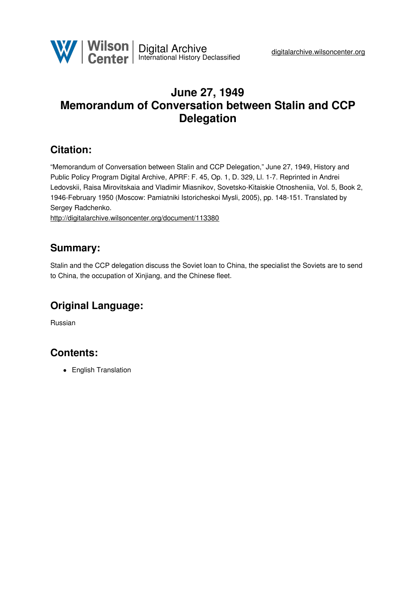

# **June 27, 1949 Memorandum of Conversation between Stalin and CCP Delegation**

### **Citation:**

"Memorandum of Conversation between Stalin and CCP Delegation," June 27, 1949, History and Public Policy Program Digital Archive, APRF: F. 45, Op. 1, D. 329, Ll. 1-7. Reprinted in Andrei Ledovskii, Raisa Mirovitskaia and Vladimir Miasnikov, Sovetsko-Kitaiskie Otnosheniia, Vol. 5, Book 2, 1946-February 1950 (Moscow: Pamiatniki Istoricheskoi Mysli, 2005), pp. 148-151. Translated by Sergey Radchenko.

<http://digitalarchive.wilsoncenter.org/document/113380>

#### **Summary:**

Stalin and the CCP delegation discuss the Soviet loan to China, the specialist the Soviets are to send to China, the occupation of Xinjiang, and the Chinese fleet.

# **Original Language:**

Russian

# **Contents:**

• English Translation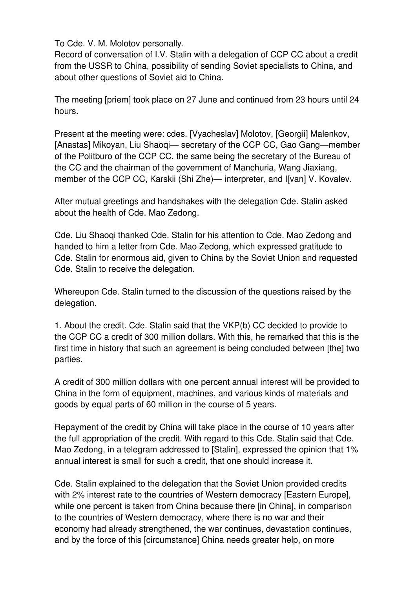To Cde. V. M. Molotov personally.

Record of conversation of I.V. Stalin with a delegation of CCP CC about a credit from the USSR to China, possibility of sending Soviet specialists to China, and about other questions of Soviet aid to China.

The meeting [priem] took place on 27 June and continued from 23 hours until 24 hours.

Present at the meeting were: cdes. [Vyacheslav] Molotov, [Georgii] Malenkov, [Anastas] Mikoyan, Liu Shaoqi— secretary of the CCP CC, Gao Gang—member of the Politburo of the CCP CC, the same being the secretary of the Bureau of the CC and the chairman of the government of Manchuria, Wang Jiaxiang, member of the CCP CC, Karskii (Shi Zhe)— interpreter, and I[van] V. Kovalev.

After mutual greetings and handshakes with the delegation Cde. Stalin asked about the health of Cde. Mao Zedong.

Cde. Liu Shaoqi thanked Cde. Stalin for his attention to Cde. Mao Zedong and handed to him a letter from Cde. Mao Zedong, which expressed gratitude to Cde. Stalin for enormous aid, given to China by the Soviet Union and requested Cde. Stalin to receive the delegation.

Whereupon Cde. Stalin turned to the discussion of the questions raised by the delegation.

1. About the credit. Cde. Stalin said that the VKP(b) CC decided to provide to the CCP CC a credit of 300 million dollars. With this, he remarked that this is the first time in history that such an agreement is being concluded between [the] two parties.

A credit of 300 million dollars with one percent annual interest will be provided to China in the form of equipment, machines, and various kinds of materials and goods by equal parts of 60 million in the course of 5 years.

Repayment of the credit by China will take place in the course of 10 years after the full appropriation of the credit. With regard to this Cde. Stalin said that Cde. Mao Zedong, in a telegram addressed to [Stalin], expressed the opinion that 1% annual interest is small for such a credit, that one should increase it.

Cde. Stalin explained to the delegation that the Soviet Union provided credits with 2% interest rate to the countries of Western democracy [Eastern Europe], while one percent is taken from China because there [in China], in comparison to the countries of Western democracy, where there is no war and their economy had already strengthened, the war continues, devastation continues, and by the force of this [circumstance] China needs greater help, on more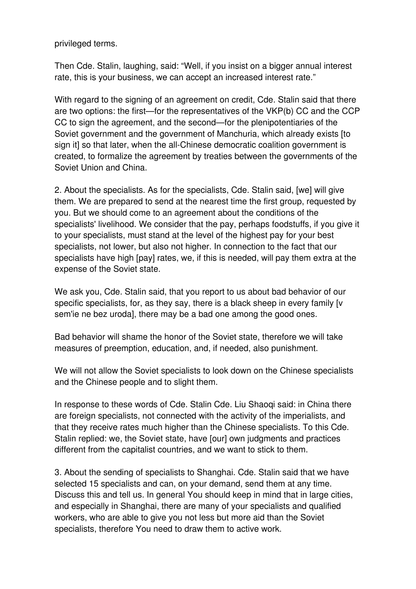privileged terms.

Then Cde. Stalin, laughing, said: "Well, if you insist on a bigger annual interest rate, this is your business, we can accept an increased interest rate."

With regard to the signing of an agreement on credit, Cde. Stalin said that there are two options: the first—for the representatives of the VKP(b) CC and the CCP CC to sign the agreement, and the second—for the plenipotentiaries of the Soviet government and the government of Manchuria, which already exists [to sign it] so that later, when the all-Chinese democratic coalition government is created, to formalize the agreement by treaties between the governments of the Soviet Union and China.

2. About the specialists. As for the specialists, Cde. Stalin said, [we] will give them. We are prepared to send at the nearest time the first group, requested by you. But we should come to an agreement about the conditions of the specialists' livelihood. We consider that the pay, perhaps foodstuffs, if you give it to your specialists, must stand at the level of the highest pay for your best specialists, not lower, but also not higher. In connection to the fact that our specialists have high [pay] rates, we, if this is needed, will pay them extra at the expense of the Soviet state.

We ask you, Cde. Stalin said, that you report to us about bad behavior of our specific specialists, for, as they say, there is a black sheep in every family [v sem'ie ne bez uroda], there may be a bad one among the good ones.

Bad behavior will shame the honor of the Soviet state, therefore we will take measures of preemption, education, and, if needed, also punishment.

We will not allow the Soviet specialists to look down on the Chinese specialists and the Chinese people and to slight them.

In response to these words of Cde. Stalin Cde. Liu Shaoqi said: in China there are foreign specialists, not connected with the activity of the imperialists, and that they receive rates much higher than the Chinese specialists. To this Cde. Stalin replied: we, the Soviet state, have [our] own judgments and practices different from the capitalist countries, and we want to stick to them.

3. About the sending of specialists to Shanghai. Cde. Stalin said that we have selected 15 specialists and can, on your demand, send them at any time. Discuss this and tell us. In general You should keep in mind that in large cities, and especially in Shanghai, there are many of your specialists and qualified workers, who are able to give you not less but more aid than the Soviet specialists, therefore You need to draw them to active work.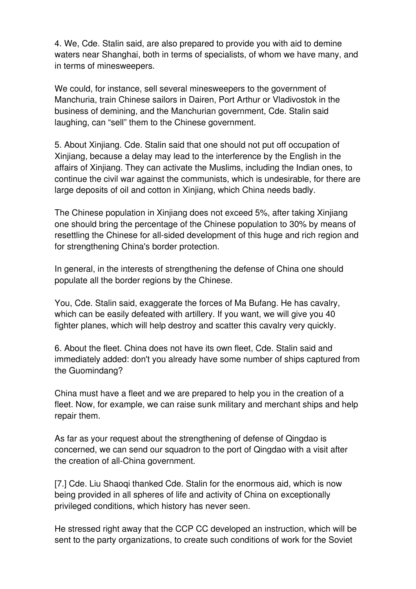4. We, Cde. Stalin said, are also prepared to provide you with aid to demine waters near Shanghai, both in terms of specialists, of whom we have many, and in terms of minesweepers.

We could, for instance, sell several minesweepers to the government of Manchuria, train Chinese sailors in Dairen, Port Arthur or Vladivostok in the business of demining, and the Manchurian government, Cde. Stalin said laughing, can "sell" them to the Chinese government.

5. About Xinjiang. Cde. Stalin said that one should not put off occupation of Xinjiang, because a delay may lead to the interference by the English in the affairs of Xinjiang. They can activate the Muslims, including the Indian ones, to continue the civil war against the communists, which is undesirable, for there are large deposits of oil and cotton in Xinjiang, which China needs badly.

The Chinese population in Xinjiang does not exceed 5%, after taking Xinjiang one should bring the percentage of the Chinese population to 30% by means of resettling the Chinese for all-sided development of this huge and rich region and for strengthening China's border protection.

In general, in the interests of strengthening the defense of China one should populate all the border regions by the Chinese.

You, Cde. Stalin said, exaggerate the forces of Ma Bufang. He has cavalry, which can be easily defeated with artillery. If you want, we will give you 40 fighter planes, which will help destroy and scatter this cavalry very quickly.

6. About the fleet. China does not have its own fleet, Cde. Stalin said and immediately added: don't you already have some number of ships captured from the Guomindang?

China must have a fleet and we are prepared to help you in the creation of a fleet. Now, for example, we can raise sunk military and merchant ships and help repair them.

As far as your request about the strengthening of defense of Qingdao is concerned, we can send our squadron to the port of Qingdao with a visit after the creation of all-China government.

[7.] Cde. Liu Shaoqi thanked Cde. Stalin for the enormous aid, which is now being provided in all spheres of life and activity of China on exceptionally privileged conditions, which history has never seen.

He stressed right away that the CCP CC developed an instruction, which will be sent to the party organizations, to create such conditions of work for the Soviet